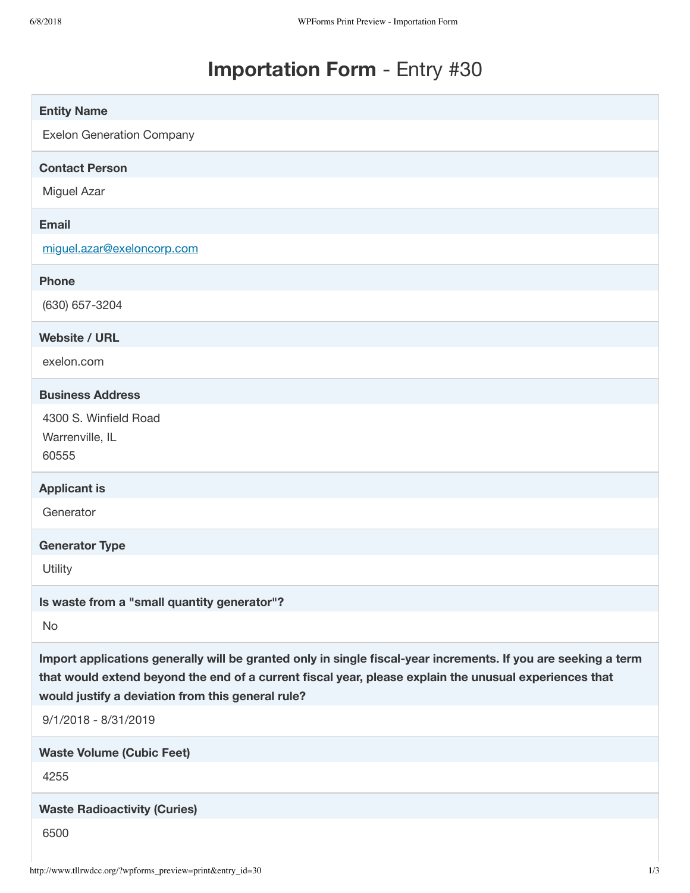# **Importation Form** - Entry #30

| <b>Entity Name</b>                                                                                                                                                                                                                                                            |
|-------------------------------------------------------------------------------------------------------------------------------------------------------------------------------------------------------------------------------------------------------------------------------|
| <b>Exelon Generation Company</b>                                                                                                                                                                                                                                              |
| <b>Contact Person</b>                                                                                                                                                                                                                                                         |
| Miguel Azar                                                                                                                                                                                                                                                                   |
| <b>Email</b>                                                                                                                                                                                                                                                                  |
| miguel.azar@exeloncorp.com                                                                                                                                                                                                                                                    |
| <b>Phone</b>                                                                                                                                                                                                                                                                  |
| (630) 657-3204                                                                                                                                                                                                                                                                |
| <b>Website / URL</b>                                                                                                                                                                                                                                                          |
| exelon.com                                                                                                                                                                                                                                                                    |
| <b>Business Address</b>                                                                                                                                                                                                                                                       |
| 4300 S. Winfield Road                                                                                                                                                                                                                                                         |
| Warrenville, IL<br>60555                                                                                                                                                                                                                                                      |
|                                                                                                                                                                                                                                                                               |
| <b>Applicant is</b><br>Generator                                                                                                                                                                                                                                              |
|                                                                                                                                                                                                                                                                               |
| <b>Generator Type</b>                                                                                                                                                                                                                                                         |
| Utility                                                                                                                                                                                                                                                                       |
| Is waste from a "small quantity generator"?                                                                                                                                                                                                                                   |
| No                                                                                                                                                                                                                                                                            |
| Import applications generally will be granted only in single fiscal-year increments. If you are seeking a term<br>that would extend beyond the end of a current fiscal year, please explain the unusual experiences that<br>would justify a deviation from this general rule? |
| 9/1/2018 - 8/31/2019                                                                                                                                                                                                                                                          |
| <b>Waste Volume (Cubic Feet)</b>                                                                                                                                                                                                                                              |
| 4255                                                                                                                                                                                                                                                                          |
| <b>Waste Radioactivity (Curies)</b>                                                                                                                                                                                                                                           |
| 6500                                                                                                                                                                                                                                                                          |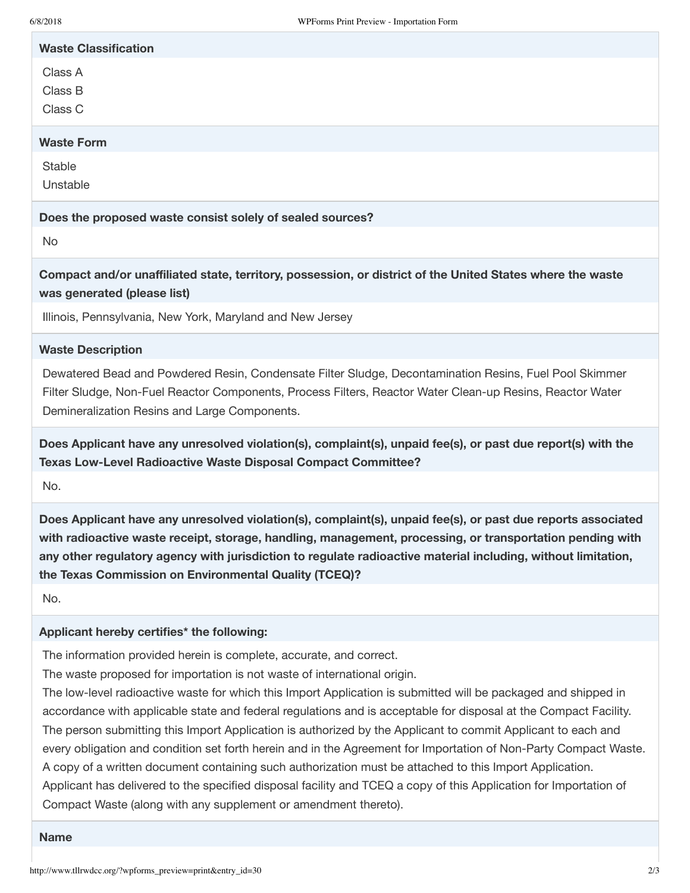| 6/8/2018                                      | WPForms Print Preview - Importation Form                                                                                                                                                                                                                                                                                                                                                                                                                                                                                                                                                                                                                                                                                             |
|-----------------------------------------------|--------------------------------------------------------------------------------------------------------------------------------------------------------------------------------------------------------------------------------------------------------------------------------------------------------------------------------------------------------------------------------------------------------------------------------------------------------------------------------------------------------------------------------------------------------------------------------------------------------------------------------------------------------------------------------------------------------------------------------------|
| <b>Waste Classification</b>                   |                                                                                                                                                                                                                                                                                                                                                                                                                                                                                                                                                                                                                                                                                                                                      |
| Class A<br>Class B<br>Class C                 |                                                                                                                                                                                                                                                                                                                                                                                                                                                                                                                                                                                                                                                                                                                                      |
| <b>Waste Form</b>                             |                                                                                                                                                                                                                                                                                                                                                                                                                                                                                                                                                                                                                                                                                                                                      |
| Stable<br>Unstable                            |                                                                                                                                                                                                                                                                                                                                                                                                                                                                                                                                                                                                                                                                                                                                      |
|                                               | Does the proposed waste consist solely of sealed sources?                                                                                                                                                                                                                                                                                                                                                                                                                                                                                                                                                                                                                                                                            |
| <b>No</b>                                     |                                                                                                                                                                                                                                                                                                                                                                                                                                                                                                                                                                                                                                                                                                                                      |
| was generated (please list)                   | Compact and/or unaffiliated state, territory, possession, or district of the United States where the waste                                                                                                                                                                                                                                                                                                                                                                                                                                                                                                                                                                                                                           |
|                                               | Illinois, Pennsylvania, New York, Maryland and New Jersey                                                                                                                                                                                                                                                                                                                                                                                                                                                                                                                                                                                                                                                                            |
| <b>Waste Description</b>                      |                                                                                                                                                                                                                                                                                                                                                                                                                                                                                                                                                                                                                                                                                                                                      |
| Demineralization Resins and Large Components. | Dewatered Bead and Powdered Resin, Condensate Filter Sludge, Decontamination Resins, Fuel Pool Skimmer<br>Filter Sludge, Non-Fuel Reactor Components, Process Filters, Reactor Water Clean-up Resins, Reactor Water                                                                                                                                                                                                                                                                                                                                                                                                                                                                                                                  |
|                                               | Does Applicant have any unresolved violation(s), complaint(s), unpaid fee(s), or past due report(s) with the<br><b>Texas Low-Level Radioactive Waste Disposal Compact Committee?</b>                                                                                                                                                                                                                                                                                                                                                                                                                                                                                                                                                 |
| No.                                           |                                                                                                                                                                                                                                                                                                                                                                                                                                                                                                                                                                                                                                                                                                                                      |
|                                               | Does Applicant have any unresolved violation(s), complaint(s), unpaid fee(s), or past due reports associated<br>with radioactive waste receipt, storage, handling, management, processing, or transportation pending with<br>any other regulatory agency with jurisdiction to regulate radioactive material including, without limitation,<br>the Texas Commission on Environmental Quality (TCEQ)?                                                                                                                                                                                                                                                                                                                                  |
| No.                                           |                                                                                                                                                                                                                                                                                                                                                                                                                                                                                                                                                                                                                                                                                                                                      |
| Applicant hereby certifies* the following:    |                                                                                                                                                                                                                                                                                                                                                                                                                                                                                                                                                                                                                                                                                                                                      |
|                                               | The information provided herein is complete, accurate, and correct.<br>The waste proposed for importation is not waste of international origin.<br>The low-level radioactive waste for which this Import Application is submitted will be packaged and shipped in<br>accordance with applicable state and federal regulations and is acceptable for disposal at the Compact Facility.<br>The person submitting this Import Application is authorized by the Applicant to commit Applicant to each and<br>every obligation and condition set forth herein and in the Agreement for Importation of Non-Party Compact Waste.<br>A copy of a written document containing such authorization must be attached to this Import Application. |

Applicant has delivered to the specified disposal facility and TCEQ a copy of this Application for Importation of Compact Waste (along with any supplement or amendment thereto).

#### **Name**